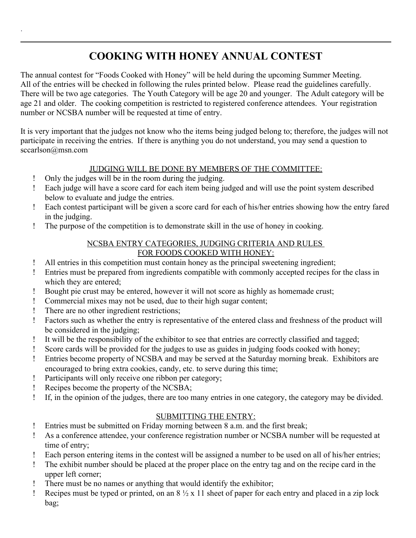# **COOKING WITH HONEY ANNUAL CONTEST**

The annual contest for "Foods Cooked with Honey" will be held during the upcoming Summer Meeting. All of the entries will be checked in following the rules printed below. Please read the guidelines carefully. There will be two age categories. The Youth Category will be age 20 and younger. The Adult category will be age 21 and older. The cooking competition is restricted to registered conference attendees. Your registration number or NCSBA number will be requested at time of entry.

It is very important that the judges not know who the items being judged belong to; therefore, the judges will not participate in receiving the entries. If there is anything you do not understand, you may send a question to sccarlson@msn.com

## JUDGING WILL BE DONE BY MEMBERS OF THE COMMITTEE:

Only the judges will be in the room during the judging.

.

- Each judge will have a score card for each item being judged and will use the point system described below to evaluate and judge the entries.
- Each contest participant will be given a score card for each of his/her entries showing how the entry fared in the judging.
- The purpose of the competition is to demonstrate skill in the use of honey in cooking.

## NCSBA ENTRY CATEGORIES, JUDGING CRITERIA AND RULES FOR FOODS COOKED WITH HONEY:

- All entries in this competition must contain honey as the principal sweetening ingredient;
- Entries must be prepared from ingredients compatible with commonly accepted recipes for the class in which they are entered;
- Bought pie crust may be entered, however it will not score as highly as homemade crust;
- Commercial mixes may not be used, due to their high sugar content;
- There are no other ingredient restrictions;
- Factors such as whether the entry is representative of the entered class and freshness of the product will be considered in the judging;
- It will be the responsibility of the exhibitor to see that entries are correctly classified and tagged;
- Score cards will be provided for the judges to use as guides in judging foods cooked with honey;
- Entries become property of NCSBA and may be served at the Saturday morning break. Exhibitors are encouraged to bring extra cookies, candy, etc. to serve during this time;
- Participants will only receive one ribbon per category;
- Recipes become the property of the NCSBA;
- If, in the opinion of the judges, there are too many entries in one category, the category may be divided.

## SUBMITTING THE ENTRY:

- Entries must be submitted on Friday morning between 8 a.m. and the first break;
- As a conference attendee, your conference registration number or NCSBA number will be requested at time of entry;
- Each person entering items in the contest will be assigned a number to be used on all of his/her entries;
- The exhibit number should be placed at the proper place on the entry tag and on the recipe card in the upper left corner;
- There must be no names or anything that would identify the exhibitor;
- Proper must be typed or printed, on an  $8\frac{1}{2}$  x 11 sheet of paper for each entry and placed in a zip lock bag;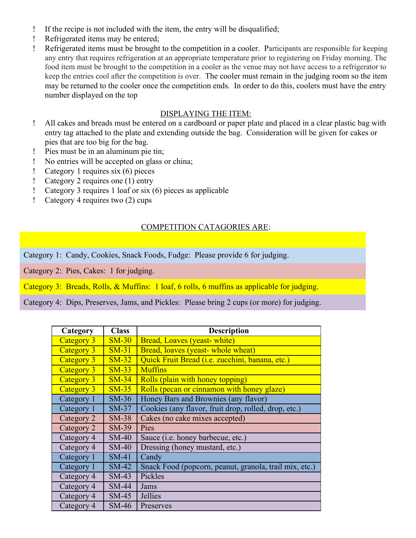- If the recipe is not included with the item, the entry will be disqualified;
- Refrigerated items may be entered;
- Refrigerated items must be brought to the competition in a cooler. Participants are responsible for keeping any entry that requires refrigeration at an appropriate temperature prior to registering on Friday morning. The food item must be brought to the competition in a cooler as the venue may not have access to a refrigerator to keep the entries cool after the competition is over. The cooler must remain in the judging room so the item may be returned to the cooler once the competition ends. In order to do this, coolers must have the entry number displayed on the top

## DISPLAYING THE ITEM:

- All cakes and breads must be entered on a cardboard or paper plate and placed in a clear plastic bag with entry tag attached to the plate and extending outside the bag. Consideration will be given for cakes or pies that are too big for the bag.
- Pies must be in an aluminum pie tin;
- No entries will be accepted on glass or china;
- Category 1 requires six (6) pieces
- Category 2 requires one (1) entry
- Category 3 requires 1 loaf or six (6) pieces as applicable
- Category 4 requires two (2) cups

## COMPETITION CATAGORIES ARE:

Category 1: Candy, Cookies, Snack Foods, Fudge: Please provide 6 for judging.

Category 2: Pies, Cakes: 1 for judging.

Category 3: Breads, Rolls, & Muffins: 1 loaf, 6 rolls, 6 muffins as applicable for judging.

Category 4: Dips, Preserves, Jams, and Pickles: Please bring 2 cups (or more) for judging.

| Category   | <b>Class</b> | <b>Description</b>                                      |
|------------|--------------|---------------------------------------------------------|
| Category 3 | $SM-30$      | Bread, Loaves (yeast-white)                             |
| Category 3 | $SM-31$      | Bread, loaves (yeast-whole wheat)                       |
| Category 3 | $SM-32$      | Quick Fruit Bread ( <i>i.e.</i> zucchini, banana, etc.) |
| Category 3 | $SM-33$      | <b>Muffins</b>                                          |
| Category 3 | $SM-34$      | Rolls (plain with honey topping)                        |
| Category 3 | $SM-35$      | Rolls (pecan or cinnamon with honey glaze)              |
| Category 1 | $SM-36$      | Honey Bars and Brownies (any flavor)                    |
| Category 1 | $SM-37$      | Cookies (any flavor, fruit drop, rolled, drop, etc.)    |
| Category 2 | <b>SM-38</b> | Cakes (no cake mixes accepted)                          |
| Category 2 | SM-39        | Pies                                                    |
| Category 4 | $SM-40$      | Sauce ( <i>i.e.</i> honey barbecue, etc.)               |
| Category 4 | $SM-40$      | Dressing (honey mustard, etc.)                          |
| Category 1 | $SM-41$      | Candy                                                   |
| Category 1 | $SM-42$      | Snack Food (popcorn, peanut, granola, trail mix, etc.)  |
| Category 4 | $SM-43$      | Pickles                                                 |
| Category 4 | $SM-44$      | Jams                                                    |
| Category 4 | $SM-45$      | <b>Jellies</b>                                          |
| Category 4 | $SM-46$      | Preserves                                               |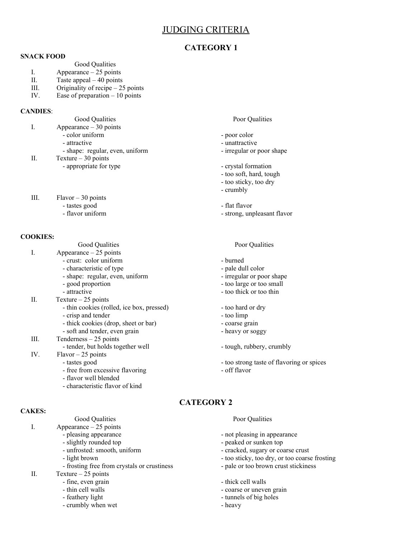## JUDGING CRITERIA

### **CATEGORY 1**

### **SNACK FOOD**

- Good Qualities
- I. Appearance 25 points
- II. Taste appeal 40 points
- III. Originality of recipe 25 points
- IV. Ease of preparation 10 points

### **CANDIES**:

- I. Appearance 30 points
	-
	-
	- shape: regular, even, uniform irregular or poor shape

II. Texture – 30 points

- appropriate for type  $\overline{\phantom{a}}$  crystal formation
- III. Flavor 30 points - tastes good - flat flavor
	-

### **COOKIES:**

- Good Qualities Poor Qualities I. Appearance – 25 points - crust: color uniform - burned - characteristic of type  $\qquad$  - pale dull color - shape: regular, even, uniform - irregular or poor shape - good proportion - too large or too small<br>- attractive - too hick or too thin II. Texture – 25 points - thin cookies (rolled, ice box, pressed) - too hard or dry - crisp and tender - too limp - thick cookies (drop, sheet or bar) - coarse grain - soft and tender, even grain - heavy or soggy III. Tenderness – 25 points - tender, but holds together well - tough, rubbery, crumbly IV. Flavor – 25 points - tastes good<br>
- too strong taste of flavoring or spices<br>
- off flavor<br>
- off flavor - free from excessive flavoring - flavor well blended
	- characteristic flavor of kind

### **CAKES:**

- Good Qualities **Poor Qualities** Poor Qualities
- I. Appearance 25 points
	-
	-
	-
	-
	- frosting free from crystals or crustiness pale or too brown crust stickiness
- II. Texture 25 points
	- fine, even grain  $\frac{1}{2}$  thick cell walls  $\frac{1}{2}$  thick cell walls
	-
	-
	- crumbly when wet heavy

### Good Qualities **Poor Qualities** Poor Qualities

- color uniform poor color
- attractive unattractive
	-
	-
	- too soft, hard, tough
	- too sticky, too dry
	- crumbly
	-
- flavor uniform  $\sim$  strong, unpleasant flavor

- 
- 
- 
- 
- too thick or too thin
- 
- 
- 
- 
- 
- 
- 

## **CATEGORY 2**

- pleasing appearance  $\overline{\phantom{a}}$  not pleasing in appearance
- slightly rounded top peaked or sunken top
- unfrosted: smooth, uniform cracked, sugary or coarse crust
- light brown  $\sim$  too sticky, too dry, or too coarse frosting
	-
	-
	- coarse or uneven grain
- feathery light  $-$  tunnels of big holes
	-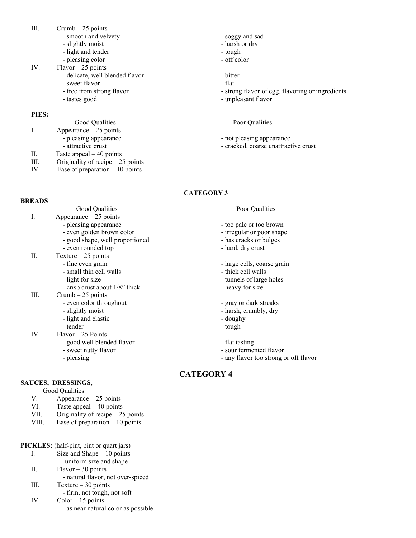- III.  $Crumb 25 points$ 
	- smooth and velvety  $-$  soggy and sad
	- slightly moist  **harsh or dry**
	- light and tender tough
	- pleasing color  $-$  off color
- IV. Flavor  $-25$  points
	- delicate, well blended flavor bitter
	- sweet flavor flat
	-
	-

### **PIES:**

Good Qualities **Poor Qualities** Poor Qualities I. Appearance – 25 points - pleasing appearance  $\overline{\phantom{a}}$  - not pleasing appearance II. Taste appeal – 40 points III. Originality of recipe – 25 points IV. Ease of preparation – 10 points

- 
- 
- 
- 
- 
- free from strong flavor  $\overline{a}$  strong flavor of egg, flavoring or ingredients
- tastes good  **unpleasant flavor**

- 
- attractive crust crust crust crust crust crust crust crust

### **CATEGORY 3**

### **BREADS**

- I. Appearance 25 points
	- - - good shape, well proportioned has cracks or bulges
			- even rounded top  $-$  hard, dry crust
- II. Texture 25 points
	-
	- small thin cell walls thick cell walls
	-
	- crisp crust about 1/8" thick heavy for size
- III. Crumb 25 points
	- even color throughout gray or dark streaks
	- slightly moist harsh, crumbly, dry
		- light and elastic contract to the doughy doughy
	- tender tough
- IV. Flavor 25 Points
	- good well blended flavor flat tasting
	- sweet nutty flavor  **sour fermented flavor** 
		-

### **SAUCES, DRESSINGS,**

- Good Qualities
- V. Appearance 25 points
- VI. Taste appeal 40 points
- VII. Originality of recipe 25 points
- VIII. Ease of preparation 10 points
- **PICKLES:** (half-pint, pint or quart jars)
	- I. Size and Shape 10 points
		- -uniform size and shape
	- II. Flavor 30 points
	- natural flavor, not over-spiced III.  $Texture - 30 points$
	- firm, not tough, not soft
	- IV. Color 15 points
		- as near natural color as possible

### Good Qualities **Poor Qualities** Poor Qualities

- pleasing appearance  $\sim$  too pale or too brown
- even golden brown color irregular or poor shape
	-
	-
- fine even grain  $\qquad \qquad$  large cells, coarse grain
	-
- light for size  **tunnels** of large holes
	-
	-
	-
	-
	-
	-
	-
- pleasing  $-$  any flavor too strong or off flavor

## **CATEGORY 4**